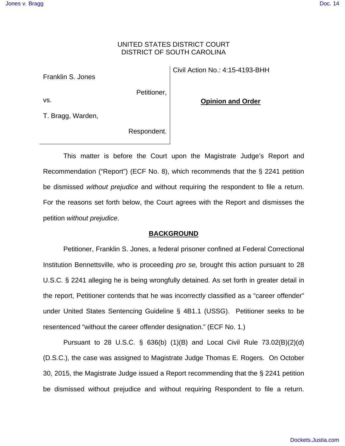### UNITED STATES DISTRICT COURT DISTRICT OF SOUTH CAROLINA

Franklin S. Jones

Petitioner,

**Opinion and Order** 

Civil Action No.: 4:15-4193-BHH

T. Bragg, Warden,

vs.

Respondent.

 This matter is before the Court upon the Magistrate Judge's Report and Recommendation ("Report") (ECF No. 8), which recommends that the § 2241 petition be dismissed *without prejudice* and without requiring the respondent to file a return. For the reasons set forth below, the Court agrees with the Report and dismisses the petition *without prejudice*.

### **BACKGROUND**

 Petitioner, Franklin S. Jones, a federal prisoner confined at Federal Correctional Institution Bennettsville, who is proceeding *pro se,* brought this action pursuant to 28 U.S.C. § 2241 alleging he is being wrongfully detained. As set forth in greater detail in the report, Petitioner contends that he was incorrectly classified as a "career offender" under United States Sentencing Guideline § 4B1.1 (USSG). Petitioner seeks to be resentenced "without the career offender designation." (ECF No. 1.)

 Pursuant to 28 U.S.C. § 636(b) (1)(B) and Local Civil Rule 73.02(B)(2)(d) (D.S.C.), the case was assigned to Magistrate Judge Thomas E. Rogers. On October 30, 2015, the Magistrate Judge issued a Report recommending that the § 2241 petition be dismissed without prejudice and without requiring Respondent to file a return.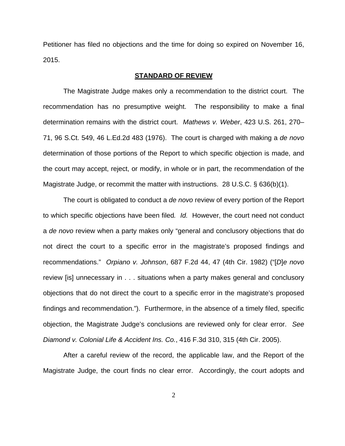Petitioner has filed no objections and the time for doing so expired on November 16, 2015.

#### **STANDARD OF REVIEW**

 The Magistrate Judge makes only a recommendation to the district court. The recommendation has no presumptive weight. The responsibility to make a final determination remains with the district court. *Mathews v. Weber*, 423 U.S. 261, 270– 71, 96 S.Ct. 549, 46 L.Ed.2d 483 (1976). The court is charged with making a *de novo*  determination of those portions of the Report to which specific objection is made, and the court may accept, reject, or modify, in whole or in part, the recommendation of the Magistrate Judge, or recommit the matter with instructions. 28 U.S.C. § 636(b)(1).

 The court is obligated to conduct a *de novo* review of every portion of the Report to which specific objections have been filed*. Id.* However, the court need not conduct a *de novo* review when a party makes only "general and conclusory objections that do not direct the court to a specific error in the magistrate's proposed findings and recommendations." *Orpiano v. Johnson*, 687 F.2d 44, 47 (4th Cir. 1982) ("[*D*]*e novo*  review [is] unnecessary in . . . situations when a party makes general and conclusory objections that do not direct the court to a specific error in the magistrate's proposed findings and recommendation."). Furthermore, in the absence of a timely filed, specific objection, the Magistrate Judge's conclusions are reviewed only for clear error. *See Diamond v. Colonial Life & Accident Ins. Co.*, 416 F.3d 310, 315 (4th Cir. 2005).

 After a careful review of the record, the applicable law, and the Report of the Magistrate Judge, the court finds no clear error. Accordingly, the court adopts and

2